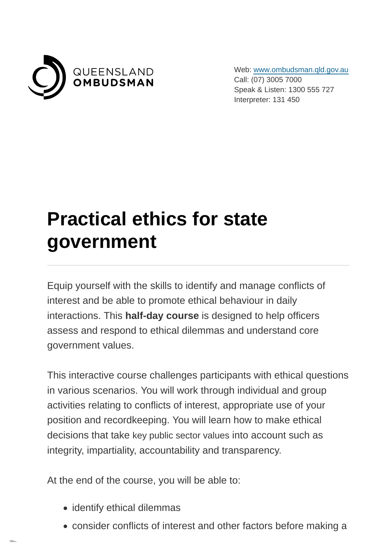

Web: [www.ombudsman.qld.gov.au](https://www.ombudsman.qld.gov.au/) Call: (07) 3005 7000 Speak & Listen: 1300 555 727 Interpreter: 131 450

## **Practical ethics for state government**

Equip yourself with the skills to identify and manage conflicts of interest and be able to promote ethical behaviour in daily interactions. This **half-day course** is designed to help officers assess and respond to ethical dilemmas and understand core government values.

This interactive course challenges participants with ethical questions in various scenarios. You will work through individual and group activities relating to conflicts of interest, appropriate use of your position and recordkeeping. You will learn how to make ethical decisions that take key public sector values into account such as integrity, impartiality, accountability and transparency.

At the end of the course, you will be able to:

- identify ethical dilemmas
- consider conflicts of interest and other factors before making a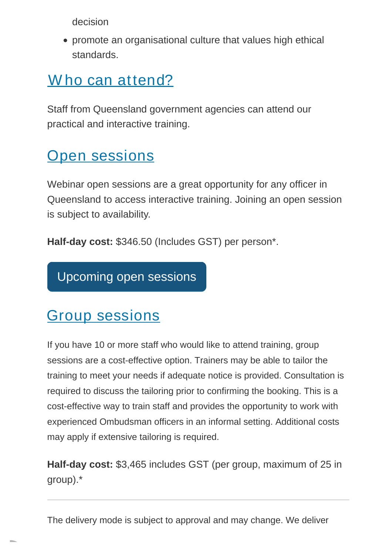decision

promote an organisational culture that values high ethical standards.

## Who can attend?

Staff from Queensland government agencies can attend our practical and interactive training.

## **[Open sessions](https://www.ombudsman.qld.gov.au/training-and-education/training-courses/practical-ethics-for-state-government?PrintToPDF=True&dummy=2022714833#open_sessions)**

Webinar open sessions are a great opportunity for any officer in Queensland to access interactive training. Joining an open session is subject to availability.

**Half-day cost:** \$346.50 (Includes GST) per person\*.

[Upcoming open sessions](https://www.ombudsman.qld.gov.au/training-and-education/book-training/practical-ethics-for-state-government/public-sector-ethics-training)

## [Group sessions](https://www.ombudsman.qld.gov.au/training-and-education/training-courses/practical-ethics-for-state-government?PrintToPDF=True&dummy=2022714833#group_sessions)

If you have 10 or more staff who would like to attend training, group sessions are a cost-effective option. Trainers may be able to tailor the training to meet your needs if adequate notice is provided. Consultation is required to discuss the tailoring prior to confirming the booking. This is a cost-effective way to train staff and provides the opportunity to work with experienced Ombudsman officers in an informal setting. Additional costs may apply if extensive tailoring is required.

**Half-day cost:** \$3,465 includes GST (per group, maximum of 25 in group).\*

The delivery mode is subject to approval and may change. We deliver